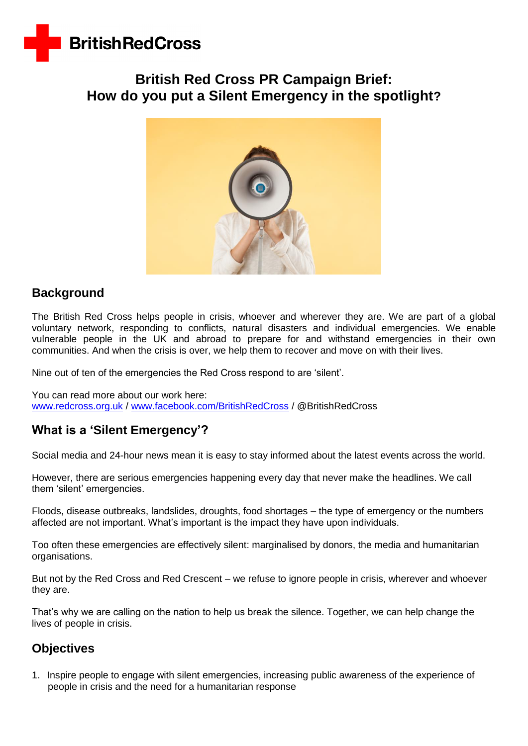

# **British Red Cross PR Campaign Brief: How do you put a Silent Emergency in the spotlight?**



## **Background**

The British Red Cross helps people in crisis, whoever and wherever they are. We are part of a global voluntary network, responding to conflicts, natural disasters and individual emergencies. We enable vulnerable people in the UK and abroad to prepare for and withstand emergencies in their own communities. And when the crisis is over, we help them to recover and move on with their lives.

Nine out of ten of the emergencies the Red Cross respond to are 'silent'.

You can read more about our work here: [www.redcross.org.uk](http://www.redcross.org.uk/) / [www.facebook.com/BritishRedCross](http://www.facebook.com/BritishRedCross) / @BritishRedCross

# **What is a 'Silent Emergency'?**

Social media and 24-hour news mean it is easy to stay informed about the latest events across the world.

However, there are serious emergencies happening every day that never make the headlines. We call them 'silent' emergencies.

Floods, disease outbreaks, landslides, droughts, food shortages – the type of emergency or the numbers affected are not important. What's important is the impact they have upon individuals.

Too often these emergencies are effectively silent: marginalised by donors, the media and humanitarian organisations.

But not by the Red Cross and Red Crescent – we refuse to ignore people in crisis, wherever and whoever they are.

That's why we are calling on the nation to help us break the silence. Together, we can help change the lives of people in crisis.

## **Objectives**

1. Inspire people to engage with silent emergencies, increasing public awareness of the experience of people in crisis and the need for a humanitarian response